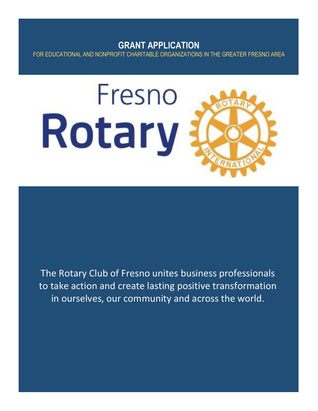# **GRANT APPLICATION** FOR EDUCATIONAL AND NONPROFIT CHARITABLE ORGANIZATIONS IN THE GREATER FRESNO AREA



The Rotary Club of Fresno unites business professionals to take action and create lasting positive transformation in ourselves, our community and across the world.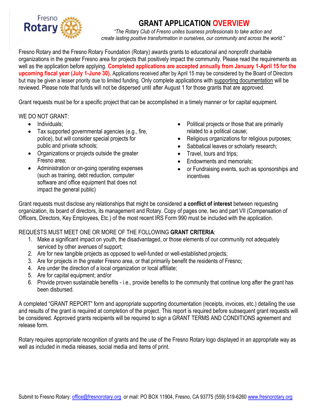

# **GRANT APPLICATION OVERVIEW**

*"The Rotary Club of Fresno unites business professionals to take action and create lasting positive transformation in ourselves, our community and across the world."*

Fresno Rotary and the Fresno Rotary Foundation (Rotary) awards grants to educational and nonprofit charitable organizations in the greater Fresno area for projects that positively impact the community. Please read the requirements as well as the application before applying. **Completed applications are accepted annually from January 1-April 15 for the upcoming fiscal year (July 1-June 30).** Applications received after by April 15 may be considered by the Board of Directors but may be given a lesser priority due to limited funding. Only complete applications with supporting documentation will be reviewed. Please note that funds will not be dispersed until after August 1 for those grants that are approved.

Grant requests must be for a specific project that can be accomplished in a timely manner or for capital equipment.

#### WE DO NOT GRANT:

- Individuals:
- Tax supported governmental agencies (e.g., fire, police), but will consider special projects for public and private schools;
- Organizations or projects outside the greater Fresno area;
- Administration or on-going operating expenses (such as training, debt reduction, computer software and office equipment that does not impact the general public)
- Political projects or those that are primarily related to a political cause;
- Religious organizations for religious purposes;
- Sabbatical leaves or scholarly research;
- Travel, tours and trips;
- Endowments and memorials;
- or Fundraising events, such as sponsorships and incentives

Grant requests must disclose any relationships that might be considered **a conflict of interest** between requesting organization, its board of directors, its management and Rotary. Copy of pages one, two and part VII (Compensation of Officers, Directors, Key Employees, Etc.) of the most recent IRS Form 990 must be included with the application.

#### REQUESTS MUST MEET ONE OR MORE OF THE FOLLOWING **GRANT CRITERIA**:

- 1. Make a significant impact on youth, the disadvantaged, or those elements of our community not adequately serviced by other avenues of support;
- 2. Are for new tangible projects as opposed to well-funded or well-established projects;
- 3. Are for projects in the greater Fresno area, or that primarily benefit the residents of Fresno;
- 4. Are under the direction of a local organization or local affiliate;
- 5. Are for capital equipment; and/or
- 6. Provide proven sustainable benefits i.e., provide benefits to the community that continue long after the grant has been disbursed.

A completed "GRANT REPORT" form and appropriate supporting documentation (receipts, invoices, etc.) detailing the use and results of the grant is required at completion of the project. This report is required before subsequent grant requests will be considered. Approved grants recipients will be required to sign a GRANT TERMS AND CONDITIONS agreement and release form.

Rotary requires appropriate recognition of grants and the use of the Fresno Rotary logo displayed in an appropriate way as well as included in media releases, social media and items of print.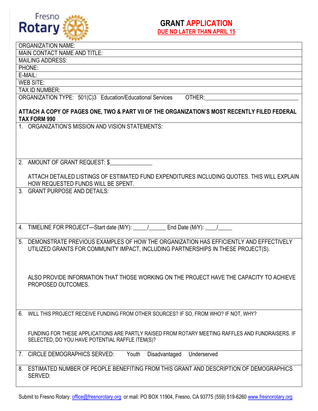

### **GRANT APPLICATION DUE NO LATER THAN APRIL 15**

|                                                                                                                     | <b>ORGANIZATION NAME:</b>                                                                                     |  |  |  |  |  |  |
|---------------------------------------------------------------------------------------------------------------------|---------------------------------------------------------------------------------------------------------------|--|--|--|--|--|--|
| MAIN CONTACT NAME AND TITLE:                                                                                        |                                                                                                               |  |  |  |  |  |  |
| <b>MAILING ADDRESS:</b>                                                                                             |                                                                                                               |  |  |  |  |  |  |
| PHONE:                                                                                                              |                                                                                                               |  |  |  |  |  |  |
| E-MAIL:                                                                                                             |                                                                                                               |  |  |  |  |  |  |
|                                                                                                                     | WEB SITE:                                                                                                     |  |  |  |  |  |  |
|                                                                                                                     | <b>TAX ID NUMBER:</b><br>ORGANIZATION TYPE: 501(C)3 Education/Educational Services<br>OTHER:                  |  |  |  |  |  |  |
|                                                                                                                     |                                                                                                               |  |  |  |  |  |  |
| ATTACH A COPY OF PAGES ONE, TWO & PART VII OF THE ORGANIZATION'S MOST RECENTLY FILED FEDERAL<br><b>TAX FORM 990</b> |                                                                                                               |  |  |  |  |  |  |
|                                                                                                                     | 1. ORGANIZATION'S MISSION AND VISION STATEMENTS:                                                              |  |  |  |  |  |  |
|                                                                                                                     |                                                                                                               |  |  |  |  |  |  |
|                                                                                                                     |                                                                                                               |  |  |  |  |  |  |
|                                                                                                                     |                                                                                                               |  |  |  |  |  |  |
|                                                                                                                     |                                                                                                               |  |  |  |  |  |  |
|                                                                                                                     | 2. AMOUNT OF GRANT REQUEST: \$                                                                                |  |  |  |  |  |  |
|                                                                                                                     | ATTACH DETAILED LISTINGS OF ESTIMATED FUND EXPENDITURES INCLUDING QUOTES. THIS WILL EXPLAIN                   |  |  |  |  |  |  |
|                                                                                                                     | HOW REQUESTED FUNDS WILL BE SPENT.                                                                            |  |  |  |  |  |  |
|                                                                                                                     | 3. GRANT PURPOSE AND DETAILS:                                                                                 |  |  |  |  |  |  |
|                                                                                                                     |                                                                                                               |  |  |  |  |  |  |
|                                                                                                                     |                                                                                                               |  |  |  |  |  |  |
|                                                                                                                     |                                                                                                               |  |  |  |  |  |  |
|                                                                                                                     |                                                                                                               |  |  |  |  |  |  |
|                                                                                                                     | 4. TIMELINE FOR PROJECT—Start date (M/Y): _____________________ End Date (M/Y): ____________________          |  |  |  |  |  |  |
| 5.                                                                                                                  | DEMONSTRATE PREVIOUS EXAMPLES OF HOW THE ORGANIZATION HAS EFFICIENTLY AND EFFECTIVELY                         |  |  |  |  |  |  |
|                                                                                                                     | UTILIZED GRANTS FOR COMMUNITY IMPACT, INCLUDING PARTNERSHIPS IN THESE PROJECT(S).                             |  |  |  |  |  |  |
|                                                                                                                     |                                                                                                               |  |  |  |  |  |  |
|                                                                                                                     |                                                                                                               |  |  |  |  |  |  |
|                                                                                                                     |                                                                                                               |  |  |  |  |  |  |
|                                                                                                                     | ALSO PROVIDE INFORMATION THAT THOSE WORKING ON THE PROJECT HAVE THE CAPACITY TO ACHIEVE<br>PROPOSED OUTCOMES. |  |  |  |  |  |  |
|                                                                                                                     |                                                                                                               |  |  |  |  |  |  |
|                                                                                                                     |                                                                                                               |  |  |  |  |  |  |
|                                                                                                                     |                                                                                                               |  |  |  |  |  |  |
| 6.                                                                                                                  | WILL THIS PROJECT RECEIVE FUNDING FROM OTHER SOURCES? IF SO, FROM WHO? IF NOT, WHY?                           |  |  |  |  |  |  |
|                                                                                                                     |                                                                                                               |  |  |  |  |  |  |
|                                                                                                                     | FUNDING FOR THESE APPLICATIONS ARE PARTLY RAISED FROM ROTARY MEETING RAFFLES AND FUNDRAISERS. IF              |  |  |  |  |  |  |
|                                                                                                                     | SELECTED, DO YOU HAVE POTENTIAL RAFFLE ITEM(S)?                                                               |  |  |  |  |  |  |
|                                                                                                                     |                                                                                                               |  |  |  |  |  |  |
|                                                                                                                     | 7. CIRCLE DEMOGRAPHICS SERVED:<br>Youth<br>Disadvantaged<br>Underserved                                       |  |  |  |  |  |  |
|                                                                                                                     |                                                                                                               |  |  |  |  |  |  |
|                                                                                                                     | 8. ESTIMATED NUMBER OF PEOPLE BENEFITING FROM THIS GRANT AND DESCRIPTION OF DEMOGRAPHICS                      |  |  |  |  |  |  |
|                                                                                                                     | SERVED:                                                                                                       |  |  |  |  |  |  |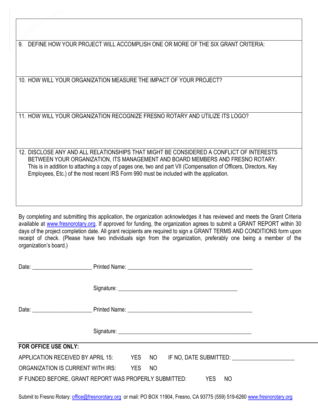9. DEFINE HOW YOUR PROJECT WILL ACCOMPLISH ONE OR MORE OF THE SIX GRANT CRITERIA:

10. HOW WILL YOUR ORGANIZATION MEASURE THE IMPACT OF YOUR PROJECT?

3

11. HOW WILL YOUR ORGANIZATION RECOGNIZE FRESNO ROTARY AND UTILIZE ITS LOGO?

12. DISCLOSE ANY AND ALL RELATIONSHIPS THAT MIGHT BE CONSIDERED A CONFLICT OF INTERESTS BETWEEN YOUR ORGANIZATION, ITS MANAGEMENT AND BOARD MEMBERS AND FRESNO ROTARY. This is in addition to attaching a copy of pages one, two and part VII (Compensation of Officers, Directors, Key Employees, Etc.) of the most recent IRS Form 990 must be included with the application.

By completing and submitting this application, the organization acknowledges it has reviewed and meets the Grant Criteria available at [www.fresnorotary.org.](http://www.fresnorotary.org/) If approved for funding, the organization agrees to submit a GRANT REPORT within 30 days of the project completion date. All grant recipients are required to sign a GRANT TERMS AND CONDITIONS form upon receipt of check. (Please have two individuals sign from the organization, preferably one being a member of the organization's board.)

| Date: <u>Date:</u> Printed Name: 2008. Expediance of the United States of the United States of the United States of the United States of the United States of the United States of the United States of the United States of the Un |  |  |    |  |  |  |  |  |  |  |
|-------------------------------------------------------------------------------------------------------------------------------------------------------------------------------------------------------------------------------------|--|--|----|--|--|--|--|--|--|--|
|                                                                                                                                                                                                                                     |  |  |    |  |  |  |  |  |  |  |
|                                                                                                                                                                                                                                     |  |  |    |  |  |  |  |  |  |  |
|                                                                                                                                                                                                                                     |  |  |    |  |  |  |  |  |  |  |
| <b>FOR OFFICE USE ONLY:</b>                                                                                                                                                                                                         |  |  |    |  |  |  |  |  |  |  |
| APPLICATION RECEIVED BY APRIL 15: YES NO IF NO, DATE SUBMITTED:                                                                                                                                                                     |  |  |    |  |  |  |  |  |  |  |
| ORGANIZATION IS CURRENT WITH IRS: YES                                                                                                                                                                                               |  |  | NO |  |  |  |  |  |  |  |
| IF FUNDED BEFORE, GRANT REPORT WAS PROPERLY SUBMITTED: YES<br>NO                                                                                                                                                                    |  |  |    |  |  |  |  |  |  |  |

Submit to Fresno Rotary: [office@fresnorotary.org](mailto:office@fresnorotary.org) or mail: PO BOX 11904, Fresno, CA 93775 (559) 519-626[0 www.fresnorotary.org](http://www.fresnorotary.org/)